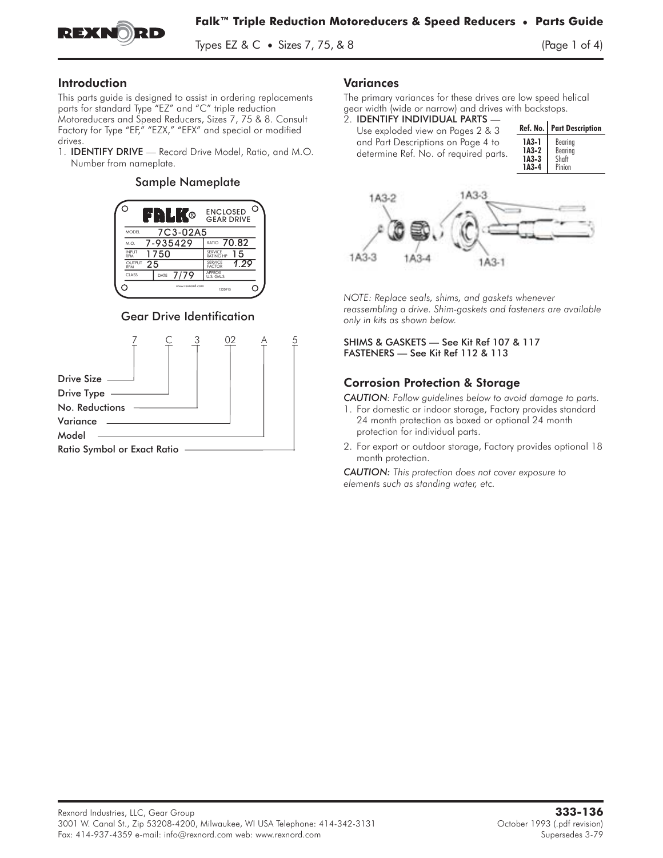

Types EZ & C • Sizes 7, 75, & 8  $(Page 1 of 4)$ 

#### Introduction

This parts guide is designed to assist in ordering replacements parts for standard Type "EZ" and "C" triple reduction Motoreducers and Speed Reducers, Sizes 7, 75 & 8. Consult Factory for Type "EF," "EZX," "EFX" and special or modified Fins paris guide is designed to assist in ordering replacements<br>parts for standard Type "EZ" and "C" triple reduction<br>Motoreducers and Speed Reducers, Sizes 7, 75 & 8. Consult<br>Factory for Type "EF," "EZX," "EFX" and specia

drives.<br>1. **IDENTIFY DRIVE** — Record Drive Model, Ratio, and M.O. Number from nameplate.

#### Sample Nameplate



#### Gear Drive Identification



#### Variances

The primary variances for these drives are low speed helical gear width (wide or narrow) and drives with backstops.<br>2. **IDENTIFY INDIVIDUAL PARTS** —

- 
- Use exploded view on Pages 2 & 3 and Part Descriptions on Page 4 to determine Ref. No. of required parts.

|         | Ref. No.   Part Description |
|---------|-----------------------------|
| 1A3-1   | Bearing                     |
| 1A3-2   | Bearing                     |
| $IA3-3$ | Shaft                       |
| $1A3-4$ | Pinion                      |



*NOTE: Replace seals, shims, and gaskets whenever reassembling a drive. Shim-gaskets and fasteners are available only in kits as shown below.*

SHIMS & GASKETS — See Kit Ref 107 & 117 FASTENERS — See Kit Ref 112 & 113

### Corrosion Protection & Storage

*CAUTION: Follow guidelines below to avoid damage to parts.*

- 1. For domestic or indoor storage, Factory provides standard 24 month protection as boxed or optional 24 month protection for individual parts.
- 2. For export or outdoor storage, Factory provides optional 18 month protection.

*CAUTION: This protection does not cover exposure to elements such as standing water, etc.*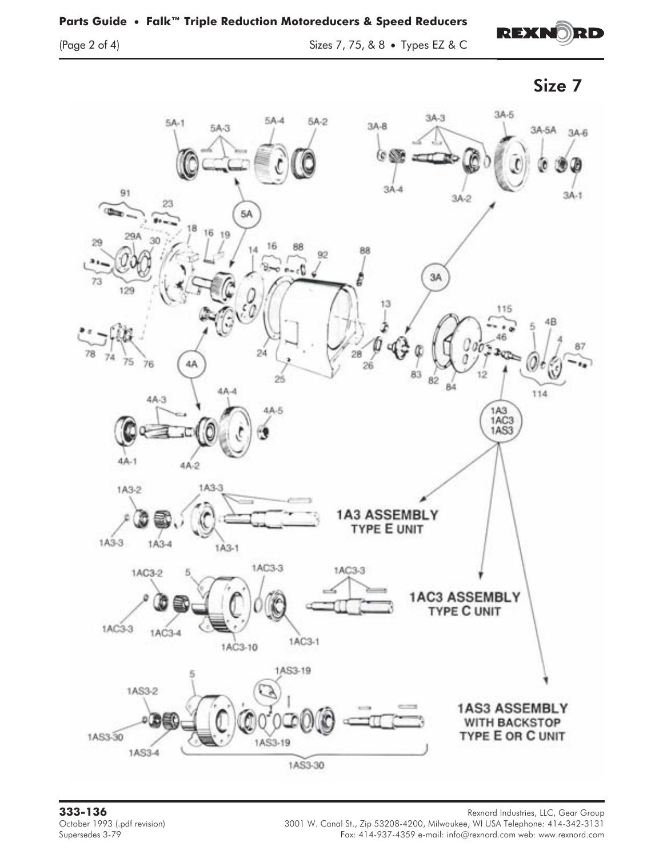(Page 2 of 4) Sizes 7, 75, & 8 • Types EZ & C







**333-136** Rexnord Industries, LLC, Gear Group October 1993 (.pdf revision) 3001 W. Canal St., Zip 53208-4200, Milwaukee, WI USA Telephone: 414-342-3131 (.pdf<br>Fax: 414-937-4359 e-mail: info@rexnord.com web: www.rexnord.com Fax: 414-937-4359 e-mail: info@rexnord.com web: www.rexnord.com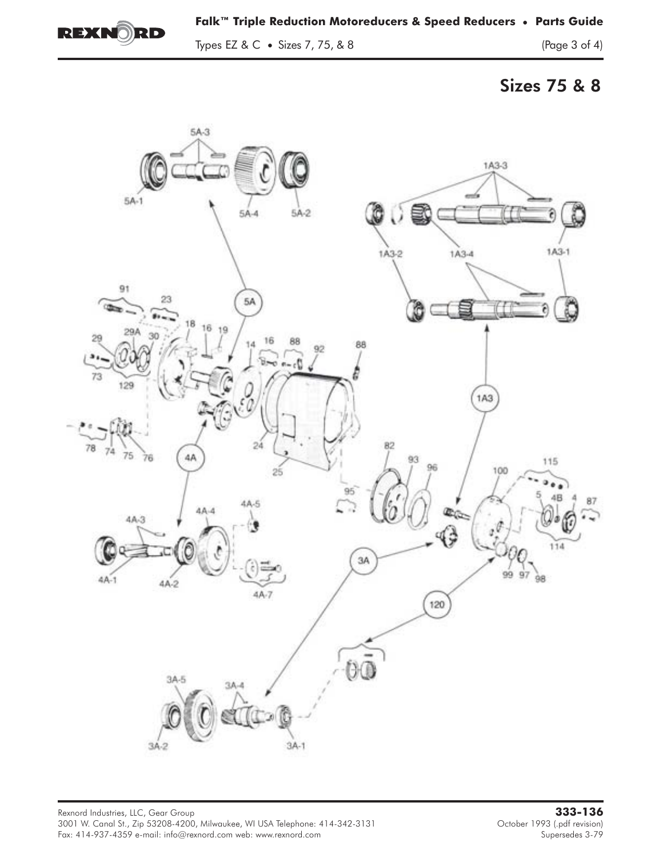

# Sizes 75 & 8